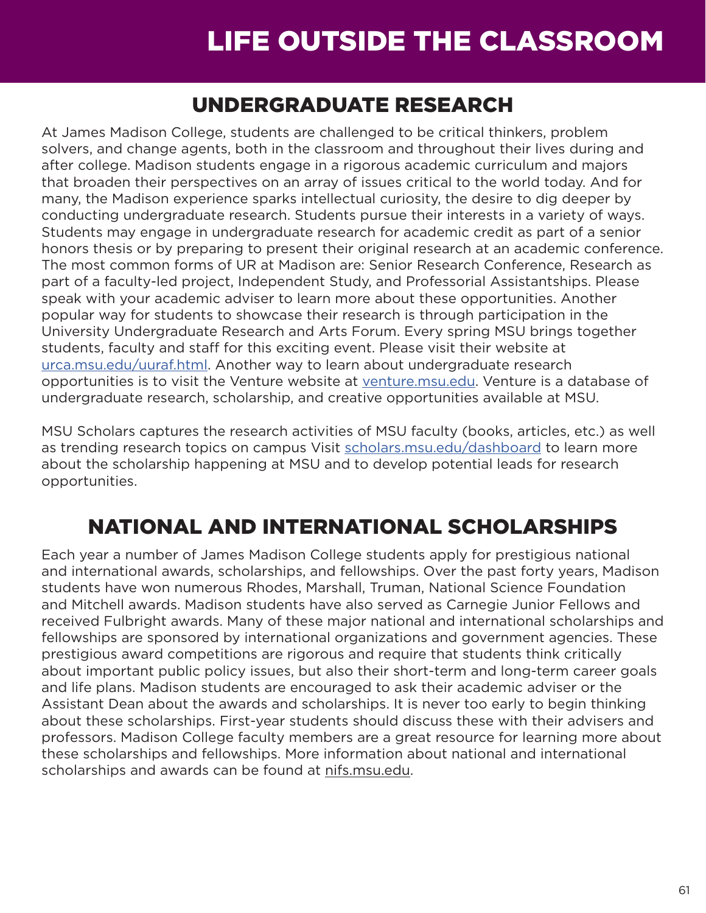# LIFE OUTSIDE THE CLASSROOM

### UNDERGRADUATE RESEARCH

At James Madison College, students are challenged to be critical thinkers, problem solvers, and change agents, both in the classroom and throughout their lives during and after college. Madison students engage in a rigorous academic curriculum and majors that broaden their perspectives on an array of issues critical to the world today. And for many, the Madison experience sparks intellectual curiosity, the desire to dig deeper by conducting undergraduate research. Students pursue their interests in a variety of ways. Students may engage in undergraduate research for academic credit as part of a senior honors thesis or by preparing to present their original research at an academic conference. The most common forms of UR at Madison are: Senior Research Conference, Research as part of a faculty-led project, Independent Study, and Professorial Assistantships. Please speak with your academic adviser to learn more about these opportunities. Another popular way for students to showcase their research is through participation in the University Undergraduate Research and Arts Forum. Every spring MSU brings together students, faculty and staff for this exciting event. Please visit their website at [urca.msu.edu/uuraf.html](https://urca.msu.edu/uuraf). Another way to learn about undergraduate research opportunities is to visit the Venture website at [venture.msu.edu](https://venture.msu.edu). Venture is a database of undergraduate research, scholarship, and creative opportunities available at MSU.

MSU Scholars captures the research activities of MSU faculty (books, articles, etc.) as well as trending research topics on campus Visit [scholars.msu.edu/dashboard](https://scholars.msu.edu/dashboard) to learn more about the scholarship happening at MSU and to develop potential leads for research opportunities.

## NATIONAL AND INTERNATIONAL SCHOLARSHIPS

Each year a number of James Madison College students apply for prestigious national and international awards, scholarships, and fellowships. Over the past forty years, Madison students have won numerous Rhodes, Marshall, Truman, National Science Foundation and Mitchell awards. Madison students have also served as Carnegie Junior Fellows and received Fulbright awards. Many of these major national and international scholarships and fellowships are sponsored by international organizations and government agencies. These prestigious award competitions are rigorous and require that students think critically about important public policy issues, but also their short-term and long-term career goals and life plans. Madison students are encouraged to ask their academic adviser or the Assistant Dean about the awards and scholarships. It is never too early to begin thinking about these scholarships. First-year students should discuss these with their advisers and professors. Madison College faculty members are a great resource for learning more about these scholarships and fellowships. More information about national and international scholarships and awards can be found at nifs.msu.edu.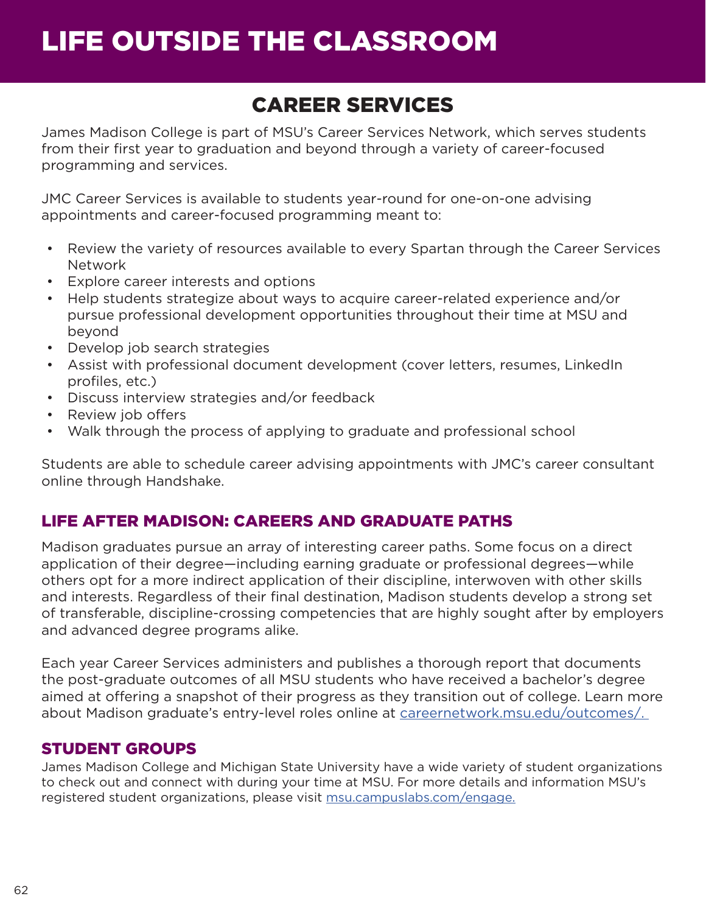## LIFE OUTSIDE THE CLASSROOM

## CAREER SERVICES

James Madison College is part of MSU's Career Services Network, which serves students from their first year to graduation and beyond through a variety of career-focused programming and services.

JMC Career Services is available to students year-round for one-on-one advising appointments and career-focused programming meant to:

- Review the variety of resources available to every Spartan through the Career Services Network
- Explore career interests and options
- Help students strategize about ways to acquire career-related experience and/or pursue professional development opportunities throughout their time at MSU and beyond
- Develop job search strategies
- Assist with professional document development (cover letters, resumes, LinkedIn profiles, etc.)
- Discuss interview strategies and/or feedback
- Review job offers
- Walk through the process of applying to graduate and professional school

Students are able to schedule career advising appointments with JMC's career consultant online through Handshake.

#### LIFE AFTER MADISON: CAREERS AND GRADUATE PATHS

Madison graduates pursue an array of interesting career paths. Some focus on a direct application of their degree—including earning graduate or professional degrees—while others opt for a more indirect application of their discipline, interwoven with other skills and interests. Regardless of their final destination, Madison students develop a strong set of transferable, discipline-crossing competencies that are highly sought after by employers and advanced degree programs alike.

Each year Career Services administers and publishes a thorough report that documents the post-graduate outcomes of all MSU students who have received a bachelor's degree aimed at offering a snapshot of their progress as they transition out of college. Learn more about Madison graduate's entry-level roles online at [careernetwork.msu.edu/outcomes/](http://careernetwork.msu.edu/outcomes/).

#### STUDENT GROUPS

James Madison College and Michigan State University have a wide variety of student organizations to check out and connect with during your time at MSU. For more details and information MSU's registered student organizations, please visit [msu.campuslabs.com/engage](http://msu.campuslabs.com/engage).